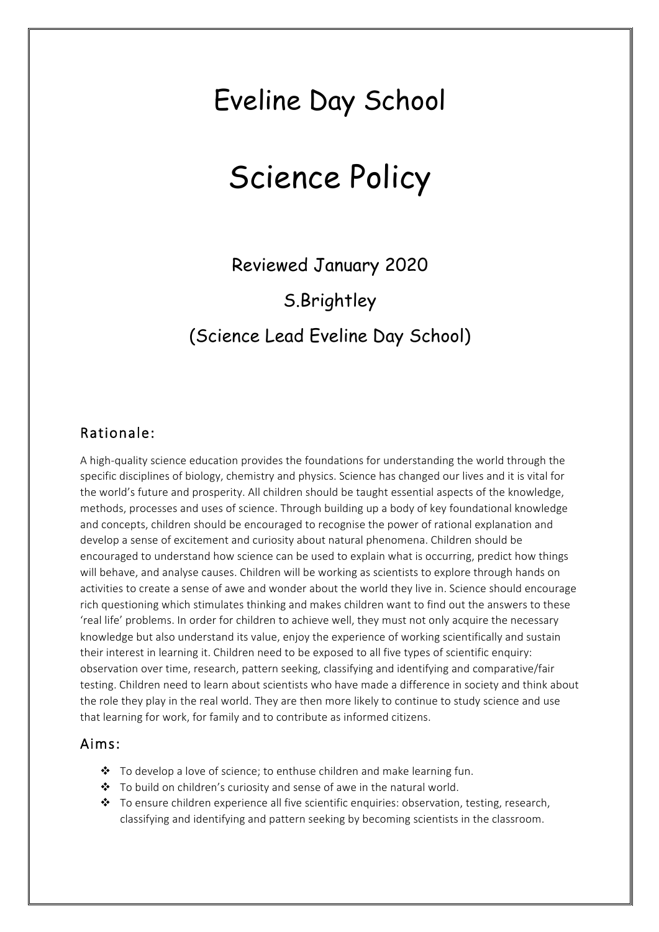## Eveline Day School

# Science Policy

Reviewed January 2020 S.Brightley (Science Lead Eveline Day School)

### Rationale:

A high-quality science education provides the foundations for understanding the world through the specific disciplines of biology, chemistry and physics. Science has changed our lives and it is vital for the world's future and prosperity. All children should be taught essential aspects of the knowledge, methods, processes and uses of science. Through building up a body of key foundational knowledge and concepts, children should be encouraged to recognise the power of rational explanation and develop a sense of excitement and curiosity about natural phenomena. Children should be encouraged to understand how science can be used to explain what is occurring, predict how things will behave, and analyse causes. Children will be working as scientists to explore through hands on activities to create a sense of awe and wonder about the world they live in. Science should encourage rich questioning which stimulates thinking and makes children want to find out the answers to these 'real life' problems. In order for children to achieve well, they must not only acquire the necessary knowledge but also understand its value, enjoy the experience of working scientifically and sustain their interest in learning it. Children need to be exposed to all five types of scientific enquiry: observation over time, research, pattern seeking, classifying and identifying and comparative/fair testing. Children need to learn about scientists who have made a difference in society and think about the role they play in the real world. They are then more likely to continue to study science and use that learning for work, for family and to contribute as informed citizens.

#### Aims:

- $\cdot \cdot$  To develop a love of science; to enthuse children and make learning fun.
- $\cdot \cdot$  To build on children's curiosity and sense of awe in the natural world.
- $\bullet$  To ensure children experience all five scientific enquiries: observation, testing, research, classifying and identifying and pattern seeking by becoming scientists in the classroom.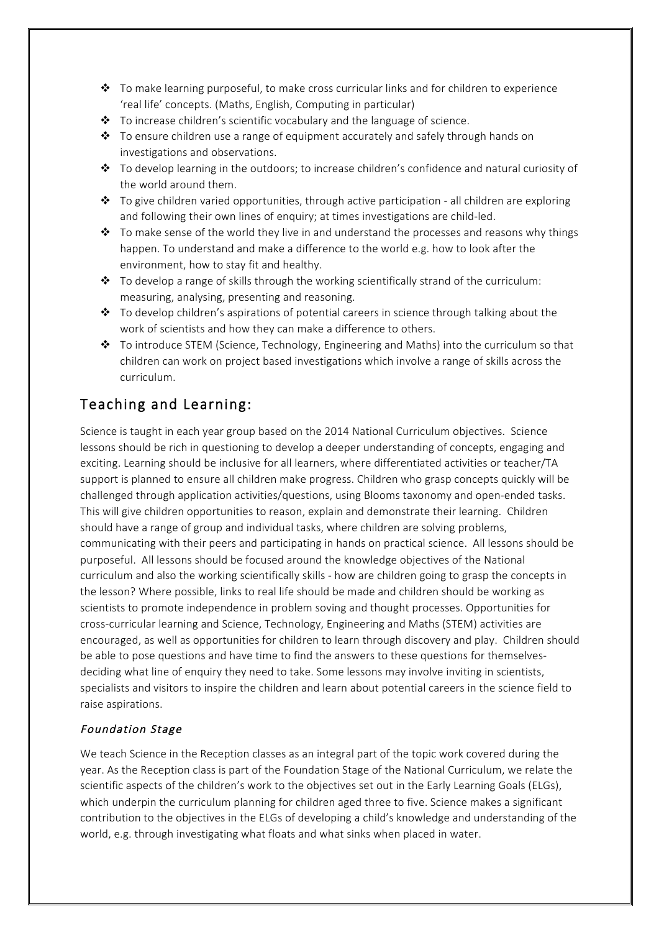- $\clubsuit$  To make learning purposeful, to make cross curricular links and for children to experience 'real life' concepts. (Maths, English, Computing in particular)
- $\cdot \cdot$  To increase children's scientific vocabulary and the language of science.
- $\div$  To ensure children use a range of equipment accurately and safely through hands on investigations and observations.
- $\cdot \cdot$  To develop learning in the outdoors; to increase children's confidence and natural curiosity of the world around them.
- $\div$  To give children varied opportunities, through active participation all children are exploring and following their own lines of enquiry; at times investigations are child-led.
- $\clubsuit$  To make sense of the world they live in and understand the processes and reasons why things happen. To understand and make a difference to the world e.g. how to look after the environment, how to stay fit and healthy.
- $\cdot \cdot$  To develop a range of skills through the working scientifically strand of the curriculum: measuring, analysing, presenting and reasoning.
- $\div$  To develop children's aspirations of potential careers in science through talking about the work of scientists and how they can make a difference to others.
- $\div$  To introduce STEM (Science, Technology, Engineering and Maths) into the curriculum so that children can work on project based investigations which involve a range of skills across the curriculum.

## Teaching and Learning:

Science is taught in each year group based on the 2014 National Curriculum objectives. Science lessons should be rich in questioning to develop a deeper understanding of concepts, engaging and exciting. Learning should be inclusive for all learners, where differentiated activities or teacher/TA support is planned to ensure all children make progress. Children who grasp concepts quickly will be challenged through application activities/questions, using Blooms taxonomy and open-ended tasks. This will give children opportunities to reason, explain and demonstrate their learning. Children should have a range of group and individual tasks, where children are solving problems, communicating with their peers and participating in hands on practical science. All lessons should be purposeful. All lessons should be focused around the knowledge objectives of the National curriculum and also the working scientifically skills - how are children going to grasp the concepts in the lesson? Where possible, links to real life should be made and children should be working as scientists to promote independence in problem soving and thought processes. Opportunities for cross-curricular learning and Science, Technology, Engineering and Maths (STEM) activities are encouraged, as well as opportunities for children to learn through discovery and play. Children should be able to pose questions and have time to find the answers to these questions for themselvesdeciding what line of enquiry they need to take. Some lessons may involve inviting in scientists, specialists and visitors to inspire the children and learn about potential careers in the science field to raise aspirations.

#### Foundation Stage

We teach Science in the Reception classes as an integral part of the topic work covered during the year. As the Reception class is part of the Foundation Stage of the National Curriculum, we relate the scientific aspects of the children's work to the objectives set out in the Early Learning Goals (ELGs), which underpin the curriculum planning for children aged three to five. Science makes a significant contribution to the objectives in the ELGs of developing a child's knowledge and understanding of the world, e.g. through investigating what floats and what sinks when placed in water.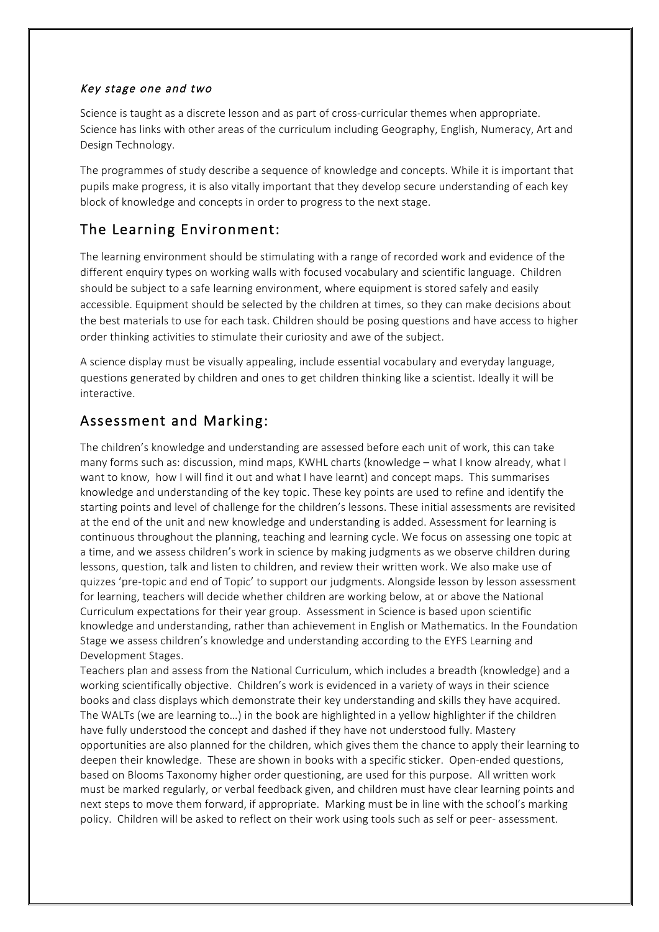#### Key stage one and two

Science is taught as a discrete lesson and as part of cross-curricular themes when appropriate. Science has links with other areas of the curriculum including Geography, English, Numeracy, Art and Design Technology.

The programmes of study describe a sequence of knowledge and concepts. While it is important that pupils make progress, it is also vitally important that they develop secure understanding of each key block of knowledge and concepts in order to progress to the next stage.

## The Learning Environment:

The learning environment should be stimulating with a range of recorded work and evidence of the different enquiry types on working walls with focused vocabulary and scientific language. Children should be subject to a safe learning environment, where equipment is stored safely and easily accessible. Equipment should be selected by the children at times, so they can make decisions about the best materials to use for each task. Children should be posing questions and have access to higher order thinking activities to stimulate their curiosity and awe of the subject.

A science display must be visually appealing, include essential vocabulary and everyday language, questions generated by children and ones to get children thinking like a scientist. Ideally it will be interactive.

## Assessment and Marking:

The children's knowledge and understanding are assessed before each unit of work, this can take many forms such as: discussion, mind maps, KWHL charts (knowledge – what I know already, what I want to know, how I will find it out and what I have learnt) and concept maps. This summarises knowledge and understanding of the key topic. These key points are used to refine and identify the starting points and level of challenge for the children's lessons. These initial assessments are revisited at the end of the unit and new knowledge and understanding is added. Assessment for learning is continuous throughout the planning, teaching and learning cycle. We focus on assessing one topic at a time, and we assess children's work in science by making judgments as we observe children during lessons, question, talk and listen to children, and review their written work. We also make use of quizzes 'pre-topic and end of Topic' to support our judgments. Alongside lesson by lesson assessment for learning, teachers will decide whether children are working below, at or above the National Curriculum expectations for their year group. Assessment in Science is based upon scientific knowledge and understanding, rather than achievement in English or Mathematics. In the Foundation Stage we assess children's knowledge and understanding according to the EYFS Learning and Development Stages.

Teachers plan and assess from the National Curriculum, which includes a breadth (knowledge) and a working scientifically objective. Children's work is evidenced in a variety of ways in their science books and class displays which demonstrate their key understanding and skills they have acquired. The WALTs (we are learning to…) in the book are highlighted in a yellow highlighter if the children have fully understood the concept and dashed if they have not understood fully. Mastery opportunities are also planned for the children, which gives them the chance to apply their learning to deepen their knowledge. These are shown in books with a specific sticker. Open-ended questions, based on Blooms Taxonomy higher order questioning, are used for this purpose. All written work must be marked regularly, or verbal feedback given, and children must have clear learning points and next steps to move them forward, if appropriate. Marking must be in line with the school's marking policy. Children will be asked to reflect on their work using tools such as self or peer- assessment.